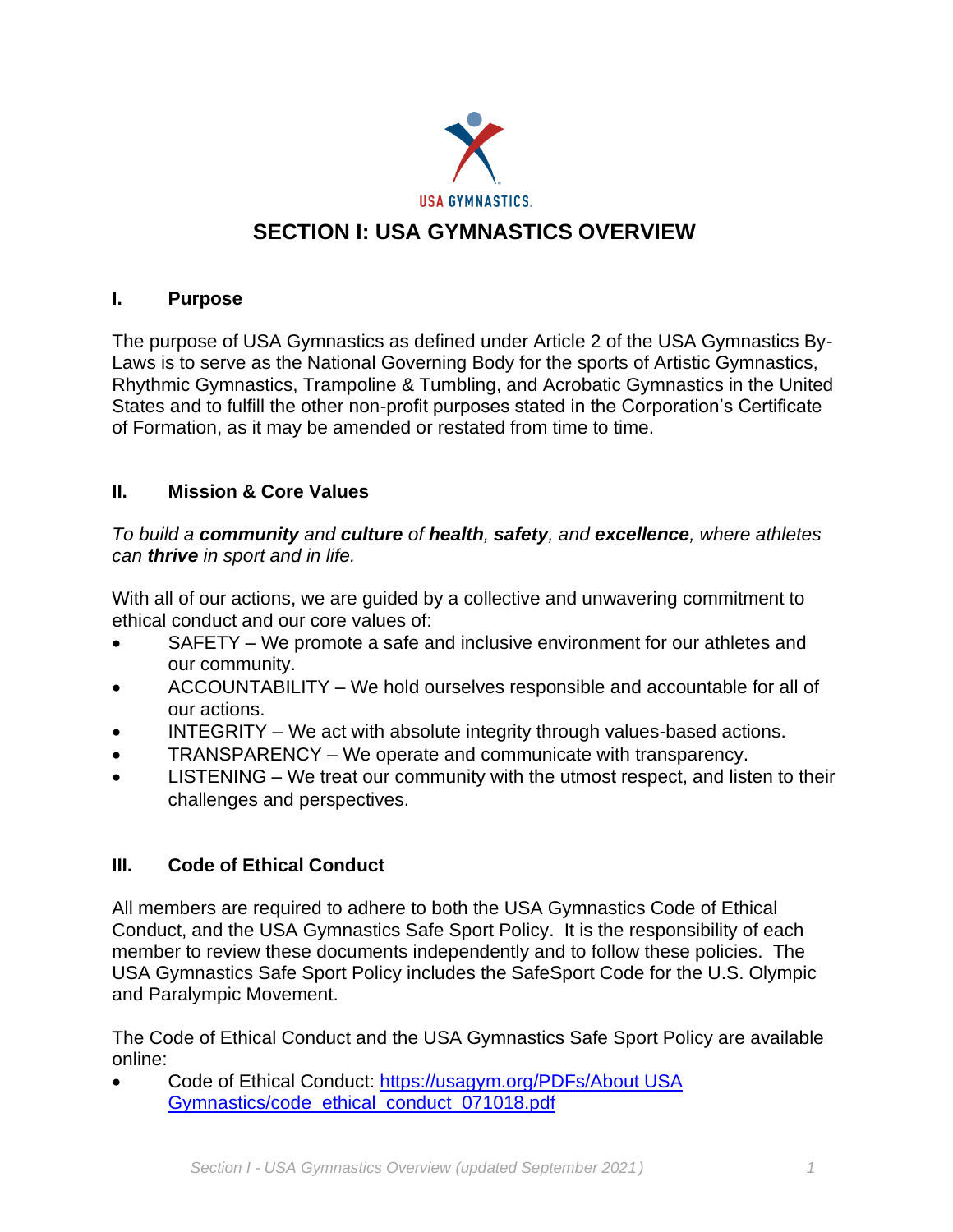

# **SECTION I: USA GYMNASTICS OVERVIEW**

#### **I. Purpose**

The purpose of USA Gymnastics as defined under Article 2 of the USA Gymnastics By-Laws is to serve as the National Governing Body for the sports of Artistic Gymnastics, Rhythmic Gymnastics, Trampoline & Tumbling, and Acrobatic Gymnastics in the United States and to fulfill the other non-profit purposes stated in the Corporation's Certificate of Formation, as it may be amended or restated from time to time.

## **II. Mission & Core Values**

*To build a community and culture of health, safety, and excellence, where athletes can thrive in sport and in life.* 

With all of our actions, we are guided by a collective and unwavering commitment to ethical conduct and our core values of:

- SAFETY We promote a safe and inclusive environment for our athletes and our community.
- ACCOUNTABILITY We hold ourselves responsible and accountable for all of our actions.
- INTEGRITY We act with absolute integrity through values-based actions.
- TRANSPARENCY We operate and communicate with transparency.
- LISTENING We treat our community with the utmost respect, and listen to their challenges and perspectives.

#### **III. Code of Ethical Conduct**

All members are required to adhere to both the USA Gymnastics Code of Ethical Conduct, and the USA Gymnastics Safe Sport Policy. It is the responsibility of each member to review these documents independently and to follow these policies. The USA Gymnastics Safe Sport Policy includes the SafeSport Code for the U.S. Olympic and Paralympic Movement.

The Code of Ethical Conduct and the USA Gymnastics Safe Sport Policy are available online:

• Code of Ethical Conduct: [https://usagym.org/PDFs/About USA](https://usagym.org/PDFs/About%20USA%20Gymnastics/code_ethical_conduct_071018.pdf)  [Gymnastics/code\\_ethical\\_conduct\\_071018.pdf](https://usagym.org/PDFs/About%20USA%20Gymnastics/code_ethical_conduct_071018.pdf)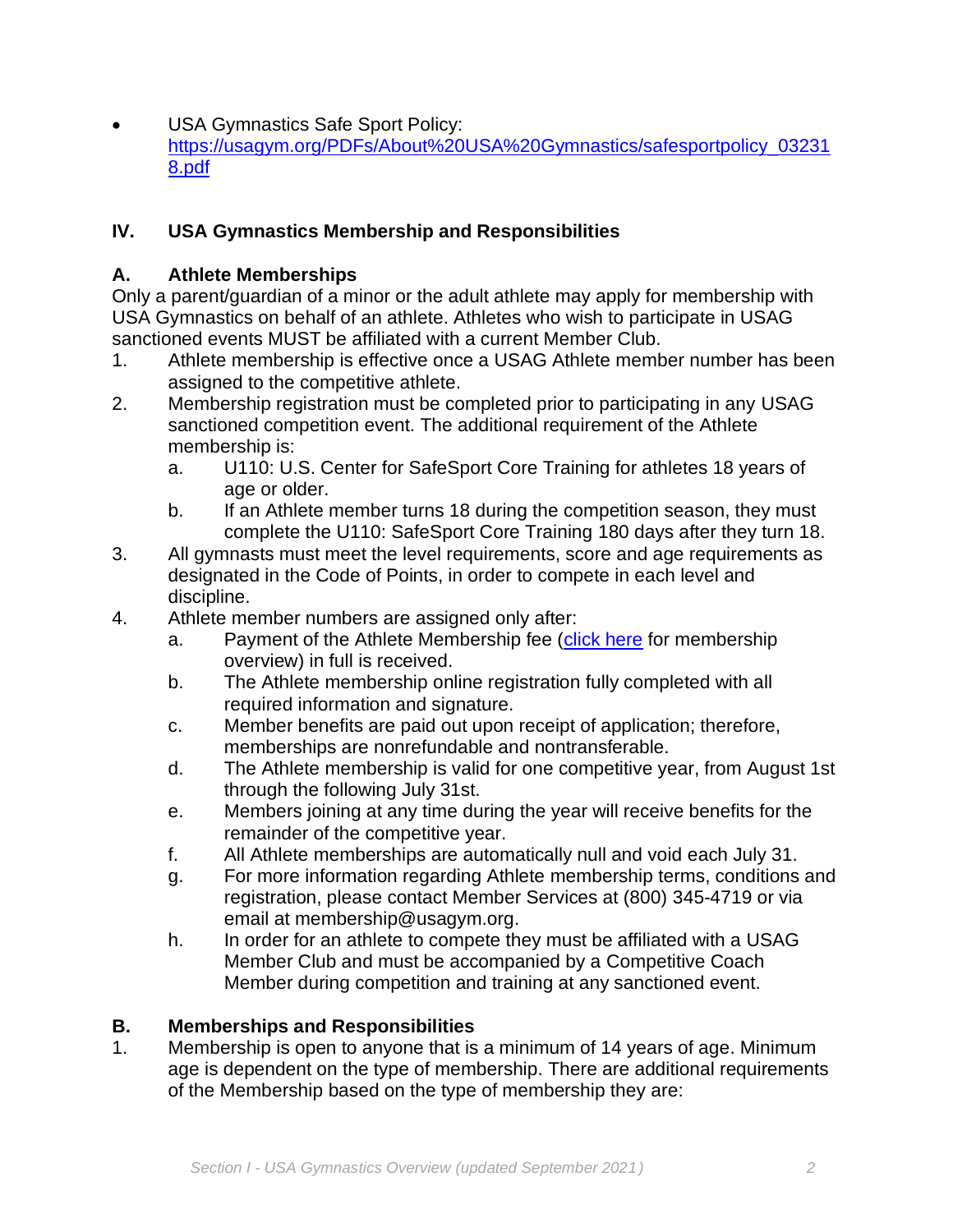USA Gymnastics Safe Sport Policy: [https://usagym.org/PDFs/About%20USA%20Gymnastics/safesportpolicy\\_03231](https://usagym.org/PDFs/About%20USA%20Gymnastics/safesportpolicy_032318.pdf) [8.pdf](https://usagym.org/PDFs/About%20USA%20Gymnastics/safesportpolicy_032318.pdf)

## **IV. USA Gymnastics Membership and Responsibilities**

## **A. Athlete Memberships**

Only a parent/guardian of a minor or the adult athlete may apply for membership with USA Gymnastics on behalf of an athlete. Athletes who wish to participate in USAG sanctioned events MUST be affiliated with a current Member Club.

- 1. Athlete membership is effective once a USAG Athlete member number has been assigned to the competitive athlete.
- 2. Membership registration must be completed prior to participating in any USAG sanctioned competition event. The additional requirement of the Athlete membership is:
	- a. U110: U.S. Center for SafeSport Core Training for athletes 18 years of age or older.
	- b. If an Athlete member turns 18 during the competition season, they must complete the U110: SafeSport Core Training 180 days after they turn 18.
- 3. All gymnasts must meet the level requirements, score and age requirements as designated in the Code of Points, in order to compete in each level and discipline.
- 4. Athlete member numbers are assigned only after:
	- a. Payment of the Athlete Membership fee [\(click here](https://usagym.org/pages/membership/pages/membership_overview.html) for membership overview) in full is received.
	- b. The Athlete membership online registration fully completed with all required information and signature.
	- c. Member benefits are paid out upon receipt of application; therefore, memberships are nonrefundable and nontransferable.
	- d. The Athlete membership is valid for one competitive year, from August 1st through the following July 31st.
	- e. Members joining at any time during the year will receive benefits for the remainder of the competitive year.
	- f. All Athlete memberships are automatically null and void each July 31.
	- g. For more information regarding Athlete membership terms, conditions and registration, please contact Member Services at (800) 345-4719 or via email at [membership@usagym.org.](mailto:membership@usagym.org)
	- h. In order for an athlete to compete they must be affiliated with a USAG Member Club and must be accompanied by a Competitive Coach Member during competition and training at any sanctioned event.

#### **B. Memberships and Responsibilities**

1. Membership is open to anyone that is a minimum of 14 years of age. Minimum age is dependent on the type of membership. There are additional requirements of the Membership based on the type of membership they are: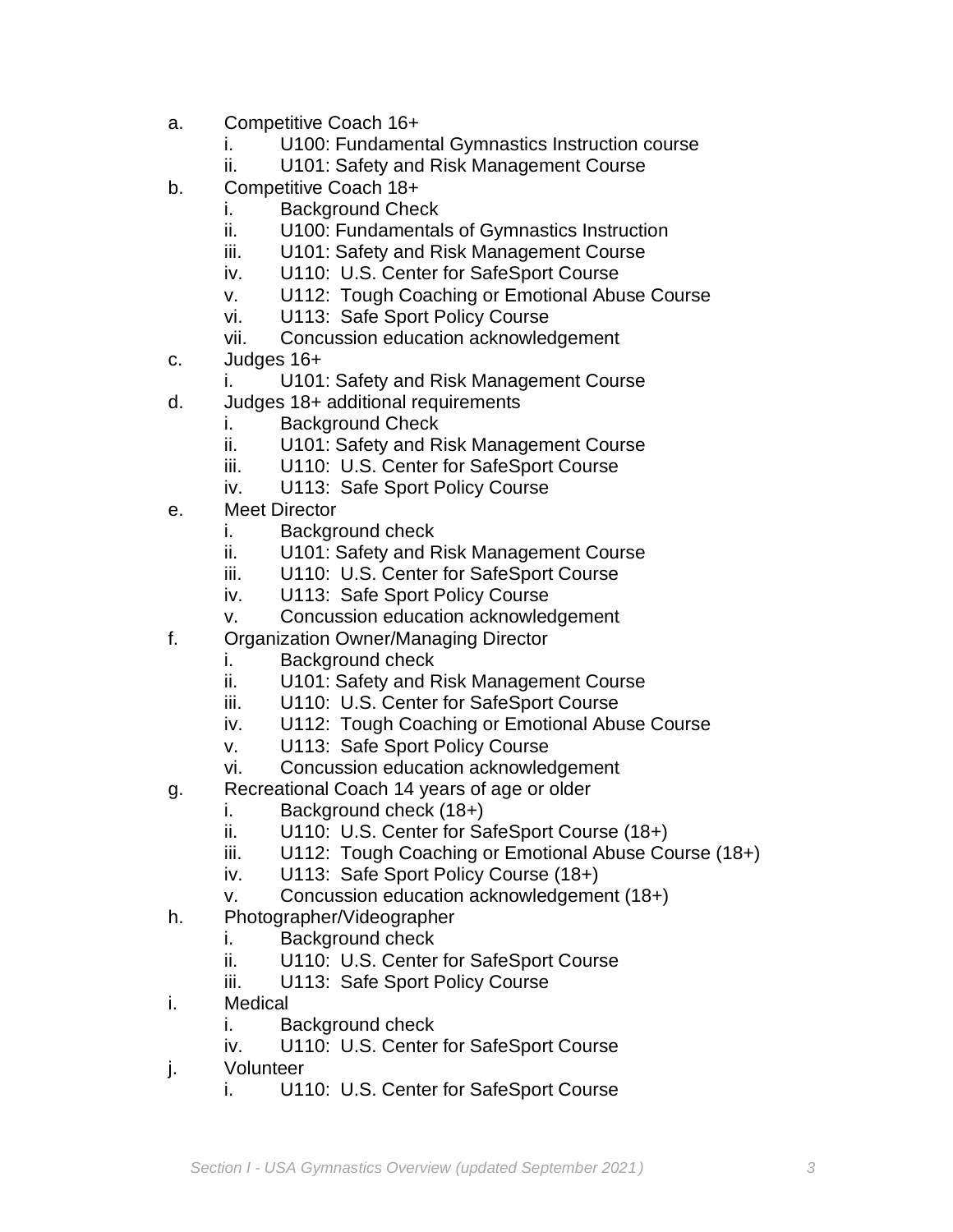- a. Competitive Coach 16+
	- i. U100: Fundamental Gymnastics Instruction course
	- ii. U101: Safety and Risk Management Course
- b. Competitive Coach 18+
	- i. Background Check
	- ii. U100: Fundamentals of Gymnastics Instruction
	- iii. U101: Safety and Risk Management Course
	- iv. U110: U.S. Center for SafeSport Course
	- v. U112: Tough Coaching or Emotional Abuse Course
	- vi. U113: Safe Sport Policy Course
	- vii. Concussion education acknowledgement
- c. Judges 16+
	- i. U101: Safety and Risk Management Course
- d. Judges 18+ additional requirements
	- i. Background Check
	- ii. U101: Safety and Risk Management Course
	- iii. U110: U.S. Center for SafeSport Course
	- iv. U113: Safe Sport Policy Course
- e. Meet Director
	- i. Background check
	- ii. U101: Safety and Risk Management Course
	- iii. U110: U.S. Center for SafeSport Course
	- iv. U113: Safe Sport Policy Course
	- v. Concussion education acknowledgement
- f. Organization Owner/Managing Director
	- i. Background check
	- ii. U101: Safety and Risk Management Course
	- iii. U110: U.S. Center for SafeSport Course
	- iv. U112: Tough Coaching or Emotional Abuse Course
	- v. U113: Safe Sport Policy Course
	- vi. Concussion education acknowledgement
- g. Recreational Coach 14 years of age or older
	- i. Background check (18+)
	- ii. U110: U.S. Center for SafeSport Course (18+)
	- iii. U112: Tough Coaching or Emotional Abuse Course (18+)
	- iv. U113: Safe Sport Policy Course (18+)
	- v. Concussion education acknowledgement (18+)
- h. Photographer/Videographer
	- i. Background check
	- ii. U110: U.S. Center for SafeSport Course
	- iii. U113: Safe Sport Policy Course
- i. Medical
	- i. Background check
	- iv. U110: U.S. Center for SafeSport Course
- j. Volunteer
	- i. U110: U.S. Center for SafeSport Course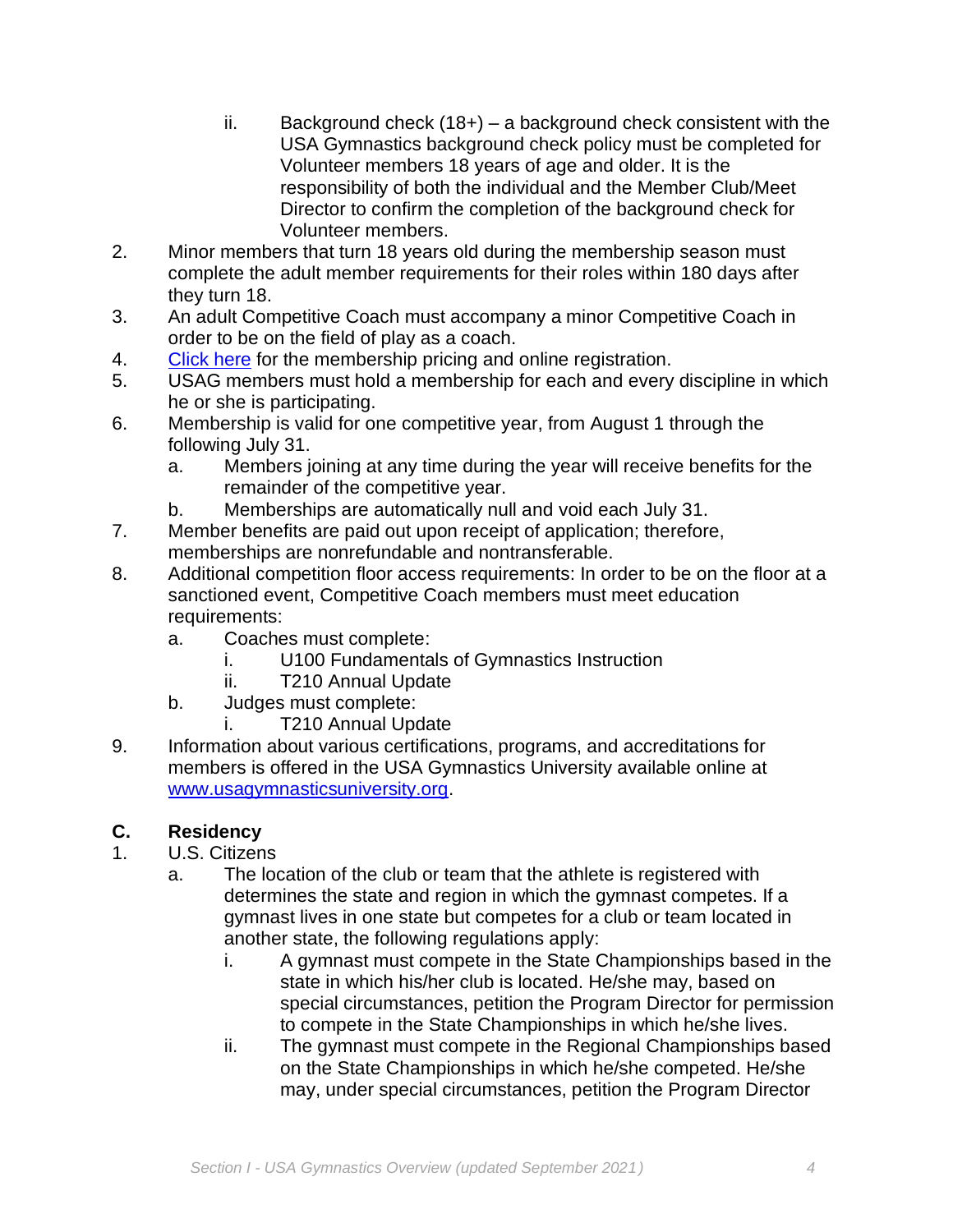- ii. Background check  $(18+)$  a background check consistent with the USA Gymnastics background check policy must be completed for Volunteer members 18 years of age and older. It is the responsibility of both the individual and the Member Club/Meet Director to confirm the completion of the background check for Volunteer members.
- 2. Minor members that turn 18 years old during the membership season must complete the adult member requirements for their roles within 180 days after they turn 18.
- 3. An adult Competitive Coach must accompany a minor Competitive Coach in order to be on the field of play as a coach.
- 4. [Click here](https://usagym.org/pages/membership/pages/membership_overview.html) for the membership pricing and online registration.
- 5. USAG members must hold a membership for each and every discipline in which he or she is participating.
- 6. Membership is valid for one competitive year, from August 1 through the following July 31.
	- a. Members joining at any time during the year will receive benefits for the remainder of the competitive year.
	- b. Memberships are automatically null and void each July 31.
- 7. Member benefits are paid out upon receipt of application; therefore, memberships are nonrefundable and nontransferable.
- 8. Additional competition floor access requirements: In order to be on the floor at a sanctioned event, Competitive Coach members must meet education requirements:
	- a. Coaches must complete:
		- i. U100 Fundamentals of Gymnastics Instruction
		- ii. T210 Annual Update
	- b. Judges must complete:
		- i. T210 Annual Update
- 9. Information about various certifications, programs, and accreditations for members is offered in the USA Gymnastics University available online at [www.usagymnasticsuniversity.org.](http://www.usagymnasticsuniversity.org/)

# **C. Residency**

- 1. U.S. Citizens
	- a. The location of the club or team that the athlete is registered with determines the state and region in which the gymnast competes. If a gymnast lives in one state but competes for a club or team located in another state, the following regulations apply:
		- i. A gymnast must compete in the State Championships based in the state in which his/her club is located. He/she may, based on special circumstances, petition the Program Director for permission to compete in the State Championships in which he/she lives.
		- ii. The gymnast must compete in the Regional Championships based on the State Championships in which he/she competed. He/she may, under special circumstances, petition the Program Director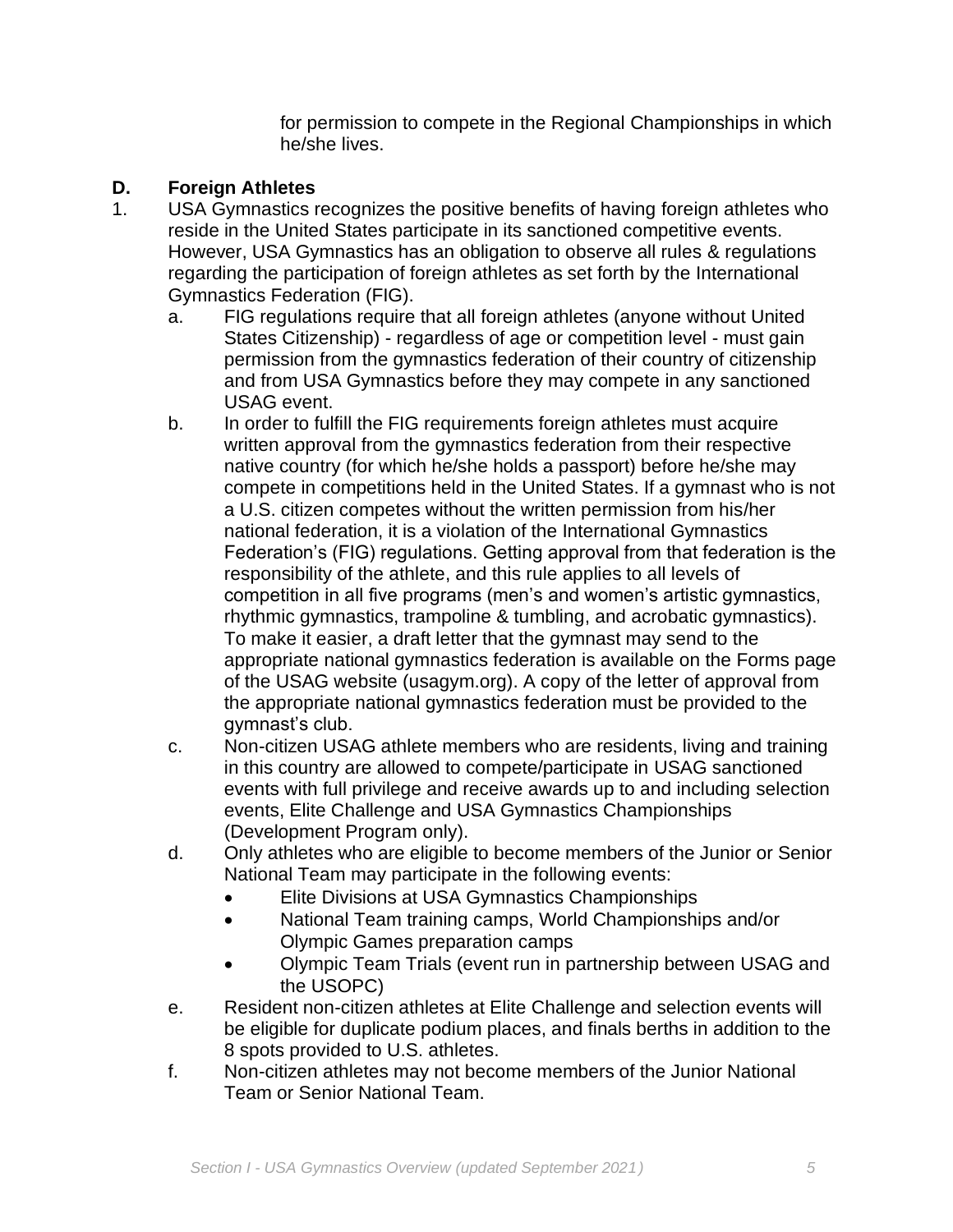for permission to compete in the Regional Championships in which he/she lives.

# **D. Foreign Athletes**

- 1. USA Gymnastics recognizes the positive benefits of having foreign athletes who reside in the United States participate in its sanctioned competitive events. However, USA Gymnastics has an obligation to observe all rules & regulations regarding the participation of foreign athletes as set forth by the International Gymnastics Federation (FIG).
	- a. FIG regulations require that all foreign athletes (anyone without United States Citizenship) - regardless of age or competition level - must gain permission from the gymnastics federation of their country of citizenship and from USA Gymnastics before they may compete in any sanctioned USAG event.
	- b. In order to fulfill the FIG requirements foreign athletes must acquire written approval from the gymnastics federation from their respective native country (for which he/she holds a passport) before he/she may compete in competitions held in the United States. If a gymnast who is not a U.S. citizen competes without the written permission from his/her national federation, it is a violation of the International Gymnastics Federation's (FIG) regulations. Getting approval from that federation is the responsibility of the athlete, and this rule applies to all levels of competition in all five programs (men's and women's artistic gymnastics, rhythmic gymnastics, trampoline & tumbling, and acrobatic gymnastics). To make it easier, a draft letter that the gymnast may send to the appropriate national gymnastics federation is available on the Forms page of the USAG website (usagym.org). A copy of the letter of approval from the appropriate national gymnastics federation must be provided to the gymnast's club.
	- c. Non-citizen USAG athlete members who are residents, living and training in this country are allowed to compete/participate in USAG sanctioned events with full privilege and receive awards up to and including selection events, Elite Challenge and USA Gymnastics Championships (Development Program only).
	- d. Only athletes who are eligible to become members of the Junior or Senior National Team may participate in the following events:
		- Elite Divisions at USA Gymnastics Championships
		- National Team training camps, World Championships and/or Olympic Games preparation camps
		- Olympic Team Trials (event run in partnership between USAG and the USOPC)
	- e. Resident non-citizen athletes at Elite Challenge and selection events will be eligible for duplicate podium places, and finals berths in addition to the 8 spots provided to U.S. athletes.
	- f. Non-citizen athletes may not become members of the Junior National Team or Senior National Team.